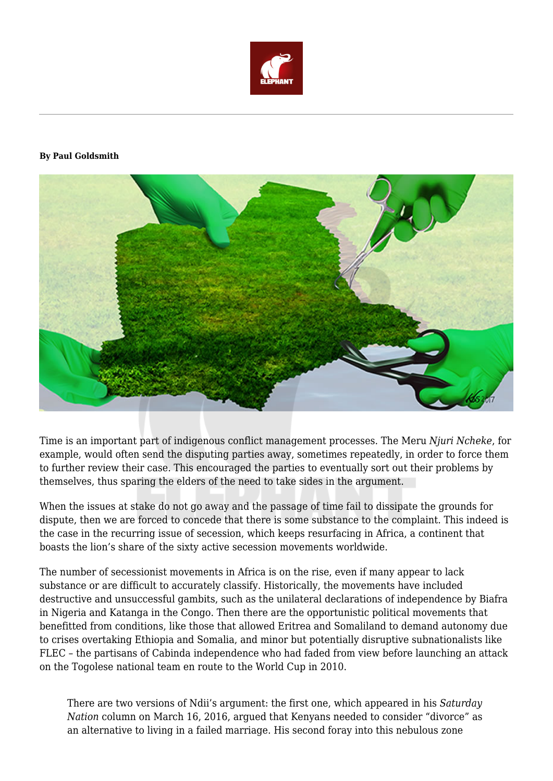

## **By Paul Goldsmith**



Time is an important part of indigenous conflict management processes. The Meru *Njuri Ncheke*, for example, would often send the disputing parties away, sometimes repeatedly, in order to force them to further review their case. This encouraged the parties to eventually sort out their problems by themselves, thus sparing the elders of the need to take sides in the argument.

When the issues at stake do not go away and the passage of time fail to dissipate the grounds for dispute, then we are forced to concede that there is some substance to the complaint. This indeed is the case in the recurring issue of secession, which keeps resurfacing in Africa, a continent that boasts the lion's share of the sixty active secession movements worldwide.

The number of secessionist movements in Africa is on the rise, even if many appear to lack substance or are difficult to accurately classify. Historically, the movements have included destructive and unsuccessful gambits, such as the unilateral declarations of independence by Biafra in Nigeria and Katanga in the Congo. Then there are the opportunistic political movements that benefitted from conditions, like those that allowed Eritrea and Somaliland to demand autonomy due to crises overtaking Ethiopia and Somalia, and minor but potentially disruptive subnationalists like FLEC – the partisans of Cabinda independence who had faded from view before launching an attack on the Togolese national team en route to the World Cup in 2010.

There are two versions of Ndii's argument: the first one, which appeared in his *Saturday Nation* column on March 16, 2016, argued that Kenyans needed to consider "divorce" as an alternative to living in a failed marriage. His second foray into this nebulous zone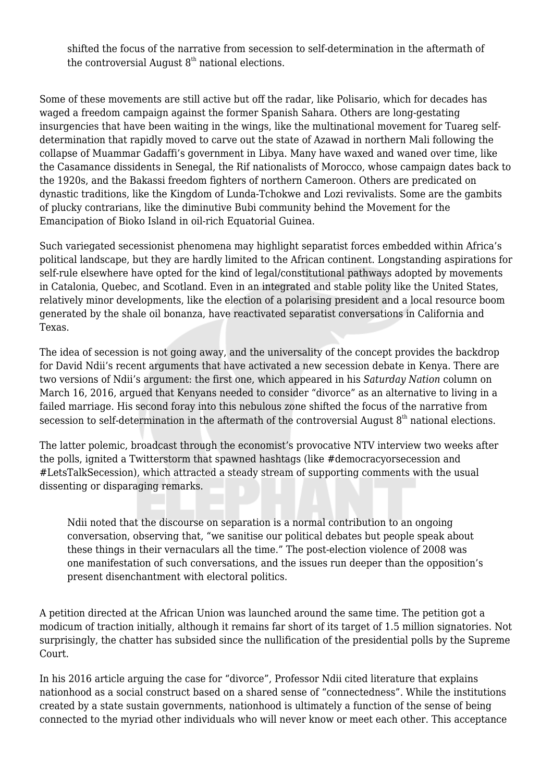shifted the focus of the narrative from secession to self-determination in the aftermath of the controversial August  $8<sup>th</sup>$  national elections.

Some of these movements are still active but off the radar, like Polisario, which for decades has waged a freedom campaign against the former Spanish Sahara. Others are long-gestating insurgencies that have been waiting in the wings, like the multinational movement for Tuareg selfdetermination that rapidly moved to carve out the state of Azawad in northern Mali following the collapse of Muammar Gadaffi's government in Libya. Many have waxed and waned over time, like the Casamance dissidents in Senegal, the Rif nationalists of Morocco, whose campaign dates back to the 1920s, and the Bakassi freedom fighters of northern Cameroon. Others are predicated on dynastic traditions, like the Kingdom of Lunda-Tchokwe and Lozi revivalists. Some are the gambits of plucky contrarians, like the diminutive Bubi community behind the Movement for the Emancipation of Bioko Island in oil-rich Equatorial Guinea.

Such variegated secessionist phenomena may highlight separatist forces embedded within Africa's political landscape, but they are hardly limited to the African continent. Longstanding aspirations for self-rule elsewhere have opted for the kind of legal/constitutional pathways adopted by movements in Catalonia, Quebec, and Scotland. Even in an integrated and stable polity like the United States, relatively minor developments, like the election of a polarising president and a local resource boom generated by the shale oil bonanza, have reactivated separatist conversations in California and Texas.

The idea of secession is not going away, and the universality of the concept provides the backdrop for David Ndii's recent arguments that have activated a new secession debate in Kenya. There are two versions of Ndii's argument: the first one, which appeared in his *Saturday Nation* column on March 16, 2016, argued that Kenyans needed to consider "divorce" as an alternative to living in a failed marriage. His second foray into this nebulous zone shifted the focus of the narrative from secession to self-determination in the aftermath of the controversial August  $8<sup>th</sup>$  national elections.

The latter polemic, broadcast through the economist's provocative NTV interview two weeks after the polls, ignited a Twitterstorm that spawned hashtags (like #democracyorsecession and #LetsTalkSecession), which attracted a steady stream of supporting comments with the usual dissenting or disparaging remarks.

Ndii noted that the discourse on separation is a normal contribution to an ongoing conversation, observing that, "we sanitise our political debates but people speak about these things in their vernaculars all the time." The post-election violence of 2008 was one manifestation of such conversations, and the issues run deeper than the opposition's present disenchantment with electoral politics.

A petition directed at the African Union was launched around the same time. The petition got a modicum of traction initially, although it remains far short of its target of 1.5 million signatories. Not surprisingly, the chatter has subsided since the nullification of the presidential polls by the Supreme Court.

In his 2016 article arguing the case for "divorce", Professor Ndii cited literature that explains nationhood as a social construct based on a shared sense of "connectedness". While the institutions created by a state sustain governments, nationhood is ultimately a function of the sense of being connected to the myriad other individuals who will never know or meet each other. This acceptance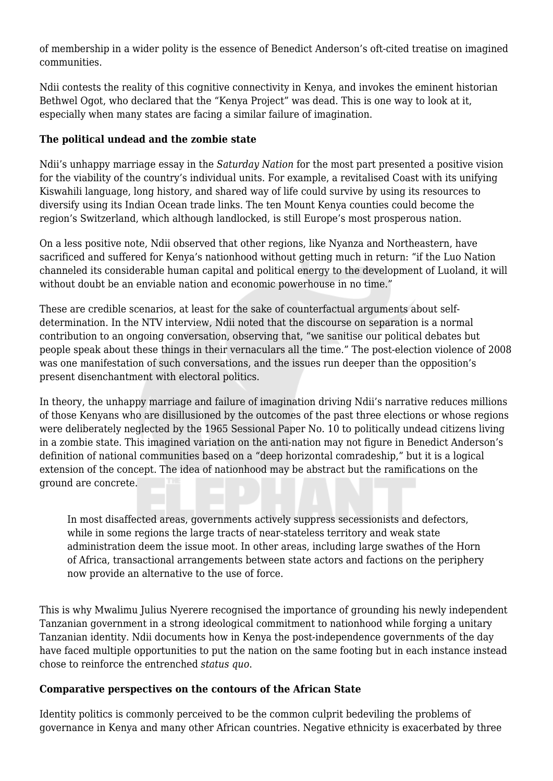of membership in a wider polity is the essence of Benedict Anderson's oft-cited treatise on imagined communities.

Ndii contests the reality of this cognitive connectivity in Kenya, and invokes the eminent historian Bethwel Ogot, who declared that the "Kenya Project" was dead. This is one way to look at it, especially when many states are facing a similar failure of imagination.

## **The political undead and the zombie state**

Ndii's unhappy marriage essay in the *Saturday Nation* for the most part presented a positive vision for the viability of the country's individual units. For example, a revitalised Coast with its unifying Kiswahili language, long history, and shared way of life could survive by using its resources to diversify using its Indian Ocean trade links. The ten Mount Kenya counties could become the region's Switzerland, which although landlocked, is still Europe's most prosperous nation.

On a less positive note, Ndii observed that other regions, like Nyanza and Northeastern, have sacrificed and suffered for Kenya's nationhood without getting much in return: "if the Luo Nation channeled its considerable human capital and political energy to the development of Luoland, it will without doubt be an enviable nation and economic powerhouse in no time."

These are credible scenarios, at least for the sake of counterfactual arguments about selfdetermination. In the NTV interview, Ndii noted that the discourse on separation is a normal contribution to an ongoing conversation, observing that, "we sanitise our political debates but people speak about these things in their vernaculars all the time." The post-election violence of 2008 was one manifestation of such conversations, and the issues run deeper than the opposition's present disenchantment with electoral politics.

In theory, the unhappy marriage and failure of imagination driving Ndii's narrative reduces millions of those Kenyans who are disillusioned by the outcomes of the past three elections or whose regions were deliberately neglected by the 1965 Sessional Paper No. 10 to politically undead citizens living in a zombie state. This imagined variation on the anti-nation may not figure in Benedict Anderson's definition of national communities based on a "deep horizontal comradeship," but it is a logical extension of the concept. The idea of nationhood may be abstract but the ramifications on the ground are concrete.

In most disaffected areas, governments actively suppress secessionists and defectors, while in some regions the large tracts of near-stateless territory and weak state administration deem the issue moot. In other areas, including large swathes of the Horn of Africa, transactional arrangements between state actors and factions on the periphery now provide an alternative to the use of force.

This is why Mwalimu Julius Nyerere recognised the importance of grounding his newly independent Tanzanian government in a strong ideological commitment to nationhood while forging a unitary Tanzanian identity. Ndii documents how in Kenya the post-independence governments of the day have faced multiple opportunities to put the nation on the same footing but in each instance instead chose to reinforce the entrenched *status quo*.

## **Comparative perspectives on the contours of the African State**

Identity politics is commonly perceived to be the common culprit bedeviling the problems of governance in Kenya and many other African countries. Negative ethnicity is exacerbated by three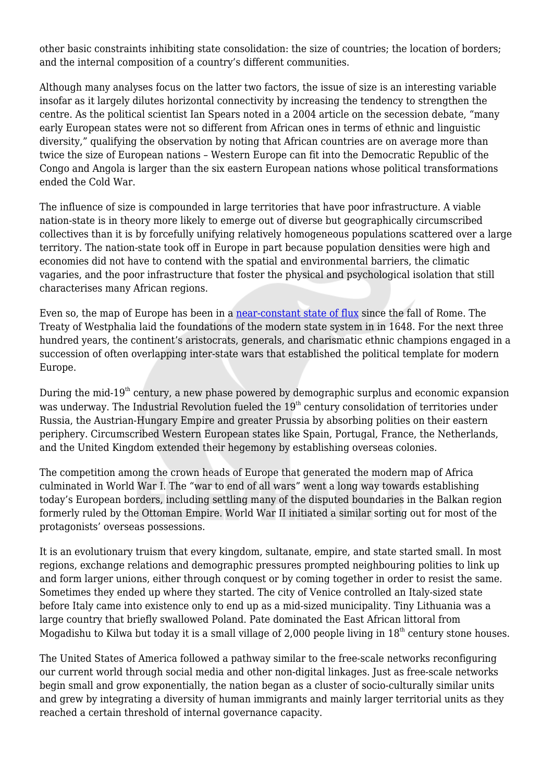other basic constraints inhibiting state consolidation: the size of countries; the location of borders; and the internal composition of a country's different communities.

Although many analyses focus on the latter two factors, the issue of size is an interesting variable insofar as it largely dilutes horizontal connectivity by increasing the tendency to strengthen the centre. As the political scientist Ian Spears noted in a 2004 article on the secession debate, "many early European states were not so different from African ones in terms of ethnic and linguistic diversity," qualifying the observation by noting that African countries are on average more than twice the size of European nations – Western Europe can fit into the Democratic Republic of the Congo and Angola is larger than the six eastern European nations whose political transformations ended the Cold War.

The influence of size is compounded in large territories that have poor infrastructure. A viable nation-state is in theory more likely to emerge out of diverse but geographically circumscribed collectives than it is by forcefully unifying relatively homogeneous populations scattered over a large territory. The nation-state took off in Europe in part because population densities were high and economies did not have to contend with the spatial and environmental barriers, the climatic vagaries, and the poor infrastructure that foster the physical and psychological isolation that still characterises many African regions.

Even so, the map of Europe has been in a [near-constant state of flux](https://www.youtube.com/watch?v=Iha3OS8ShYs) since the fall of Rome. The Treaty of Westphalia laid the foundations of the modern state system in in 1648. For the next three hundred years, the continent's aristocrats, generals, and charismatic ethnic champions engaged in a succession of often overlapping inter-state wars that established the political template for modern Europe.

During the mid-19<sup>th</sup> century, a new phase powered by demographic surplus and economic expansion was underway. The Industrial Revolution fueled the  $19<sup>th</sup>$  century consolidation of territories under Russia, the Austrian-Hungary Empire and greater Prussia by absorbing polities on their eastern periphery. Circumscribed Western European states like Spain, Portugal, France, the Netherlands, and the United Kingdom extended their hegemony by establishing overseas colonies.

The competition among the crown heads of Europe that generated the modern map of Africa culminated in World War I. The "war to end of all wars" went a long way towards establishing today's European borders, including settling many of the disputed boundaries in the Balkan region formerly ruled by the Ottoman Empire. World War II initiated a similar sorting out for most of the protagonists' overseas possessions.

It is an evolutionary truism that every kingdom, sultanate, empire, and state started small. In most regions, exchange relations and demographic pressures prompted neighbouring polities to link up and form larger unions, either through conquest or by coming together in order to resist the same. Sometimes they ended up where they started. The city of Venice controlled an Italy-sized state before Italy came into existence only to end up as a mid-sized municipality. Tiny Lithuania was a large country that briefly swallowed Poland. Pate dominated the East African littoral from Mogadishu to Kilwa but today it is a small village of 2,000 people living in  $18<sup>th</sup>$  century stone houses.

The United States of America followed a pathway similar to the free-scale networks reconfiguring our current world through social media and other non-digital linkages. Just as free-scale networks begin small and grow exponentially, the nation began as a cluster of socio-culturally similar units and grew by integrating a diversity of human immigrants and mainly larger territorial units as they reached a certain threshold of internal governance capacity.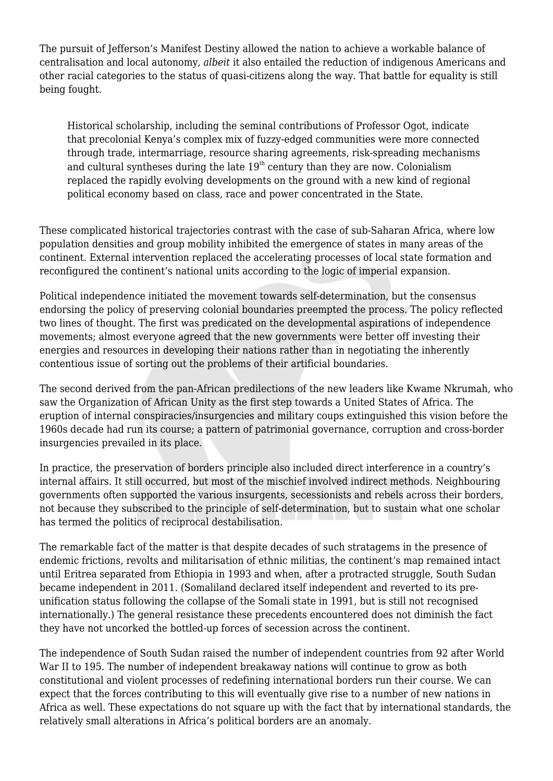The pursuit of Jefferson's Manifest Destiny allowed the nation to achieve a workable balance of centralisation and local autonomy, *albeit* it also entailed the reduction of indigenous Americans and other racial categories to the status of quasi-citizens along the way. That battle for equality is still being fought.

Historical scholarship, including the seminal contributions of Professor Ogot, indicate that precolonial Kenya's complex mix of fuzzy-edged communities were more connected through trade, intermarriage, resource sharing agreements, risk-spreading mechanisms and cultural syntheses during the late  $19<sup>th</sup>$  century than they are now. Colonialism replaced the rapidly evolving developments on the ground with a new kind of regional political economy based on class, race and power concentrated in the State.

These complicated historical trajectories contrast with the case of sub-Saharan Africa, where low population densities and group mobility inhibited the emergence of states in many areas of the continent. External intervention replaced the accelerating processes of local state formation and reconfigured the continent's national units according to the logic of imperial expansion.

Political independence initiated the movement towards self-determination, but the consensus endorsing the policy of preserving colonial boundaries preempted the process. The policy reflected two lines of thought. The first was predicated on the developmental aspirations of independence movements; almost everyone agreed that the new governments were better off investing their energies and resources in developing their nations rather than in negotiating the inherently contentious issue of sorting out the problems of their artificial boundaries.

The second derived from the pan-African predilections of the new leaders like Kwame Nkrumah, who saw the Organization of African Unity as the first step towards a United States of Africa. The eruption of internal conspiracies/insurgencies and military coups extinguished this vision before the 1960s decade had run its course; a pattern of patrimonial governance, corruption and cross-border insurgencies prevailed in its place.

In practice, the preservation of borders principle also included direct interference in a country's internal affairs. It still occurred, but most of the mischief involved indirect methods. Neighbouring governments often supported the various insurgents, secessionists and rebels across their borders, not because they subscribed to the principle of self-determination, but to sustain what one scholar has termed the politics of reciprocal destabilisation.

The remarkable fact of the matter is that despite decades of such stratagems in the presence of endemic frictions, revolts and militarisation of ethnic militias, the continent's map remained intact until Eritrea separated from Ethiopia in 1993 and when, after a protracted struggle, South Sudan became independent in 2011. (Somaliland declared itself independent and reverted to its preunification status following the collapse of the Somali state in 1991, but is still not recognised internationally.) The general resistance these precedents encountered does not diminish the fact they have not uncorked the bottled-up forces of secession across the continent.

The independence of South Sudan raised the number of independent countries from 92 after World War II to 195. The number of independent breakaway nations will continue to grow as both constitutional and violent processes of redefining international borders run their course. We can expect that the forces contributing to this will eventually give rise to a number of new nations in Africa as well. These expectations do not square up with the fact that by international standards, the relatively small alterations in Africa's political borders are an anomaly.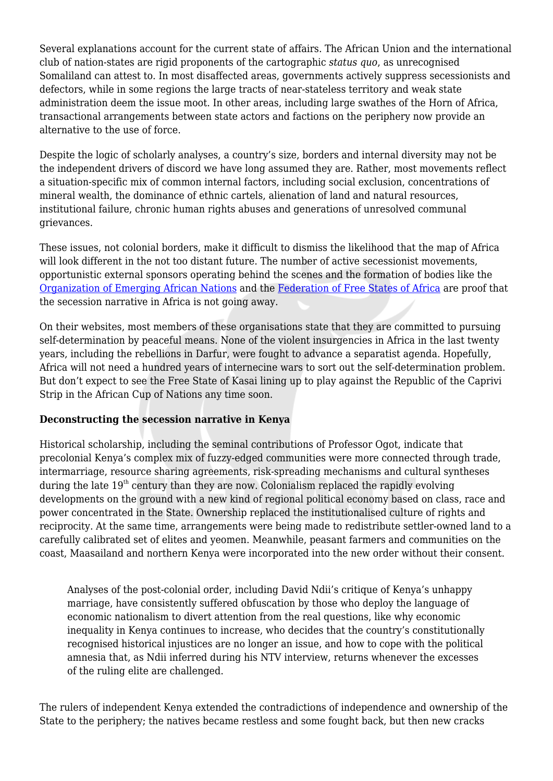Several explanations account for the current state of affairs. The African Union and the international club of nation-states are rigid proponents of the cartographic *status quo*, as unrecognised Somaliland can attest to. In most disaffected areas, governments actively suppress secessionists and defectors, while in some regions the large tracts of near-stateless territory and weak state administration deem the issue moot. In other areas, including large swathes of the Horn of Africa, transactional arrangements between state actors and factions on the periphery now provide an alternative to the use of force.

Despite the logic of scholarly analyses, a country's size, borders and internal diversity may not be the independent drivers of discord we have long assumed they are. Rather, most movements reflect a situation-specific mix of common internal factors, including social exclusion, concentrations of mineral wealth, the dominance of ethnic cartels, alienation of land and natural resources, institutional failure, chronic human rights abuses and generations of unresolved communal grievances.

These issues, not colonial borders, make it difficult to dismiss the likelihood that the map of Africa will look different in the not too distant future. The number of active secessionist movements, opportunistic external sponsors operating behind the scenes and the formation of bodies like the [Organization of Emerging African Nations](http://oeas.info/) and the [Federation of Free States of Africa](http://www.africafederation.net/) are proof that the secession narrative in Africa is not going away.

On their websites, most members of these organisations state that they are committed to pursuing self-determination by peaceful means. None of the violent insurgencies in Africa in the last twenty years, including the rebellions in Darfur, were fought to advance a separatist agenda. Hopefully, Africa will not need a hundred years of internecine wars to sort out the self-determination problem. But don't expect to see the Free State of Kasai lining up to play against the Republic of the Caprivi Strip in the African Cup of Nations any time soon.

## **Deconstructing the secession narrative in Kenya**

Historical scholarship, including the seminal contributions of Professor Ogot, indicate that precolonial Kenya's complex mix of fuzzy-edged communities were more connected through trade, intermarriage, resource sharing agreements, risk-spreading mechanisms and cultural syntheses during the late  $19<sup>th</sup>$  century than they are now. Colonialism replaced the rapidly evolving developments on the ground with a new kind of regional political economy based on class, race and power concentrated in the State. Ownership replaced the institutionalised culture of rights and reciprocity. At the same time, arrangements were being made to redistribute settler-owned land to a carefully calibrated set of elites and yeomen. Meanwhile, peasant farmers and communities on the coast, Maasailand and northern Kenya were incorporated into the new order without their consent.

Analyses of the post-colonial order, including David Ndii's critique of Kenya's unhappy marriage, have consistently suffered obfuscation by those who deploy the language of economic nationalism to divert attention from the real questions, like why economic inequality in Kenya continues to increase, who decides that the country's constitutionally recognised historical injustices are no longer an issue, and how to cope with the political amnesia that, as Ndii inferred during his NTV interview, returns whenever the excesses of the ruling elite are challenged.

The rulers of independent Kenya extended the contradictions of independence and ownership of the State to the periphery; the natives became restless and some fought back, but then new cracks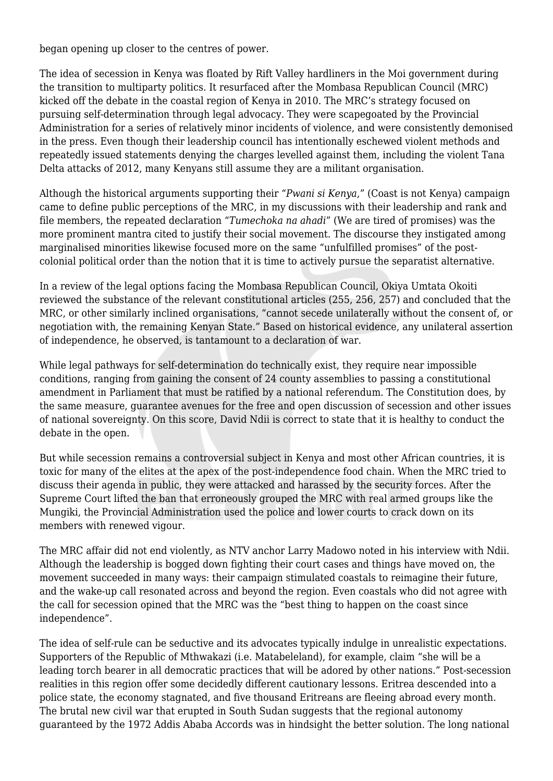began opening up closer to the centres of power.

The idea of secession in Kenya was floated by Rift Valley hardliners in the Moi government during the transition to multiparty politics. It resurfaced after the Mombasa Republican Council (MRC) kicked off the debate in the coastal region of Kenya in 2010. The MRC's strategy focused on pursuing self-determination through legal advocacy. They were scapegoated by the Provincial Administration for a series of relatively minor incidents of violence, and were consistently demonised in the press. Even though their leadership council has intentionally eschewed violent methods and repeatedly issued statements denying the charges levelled against them, including the violent Tana Delta attacks of 2012, many Kenyans still assume they are a militant organisation.

Although the historical arguments supporting their "*Pwani si Kenya*," (Coast is not Kenya) campaign came to define public perceptions of the MRC, in my discussions with their leadership and rank and file members, the repeated declaration "*Tumechoka na ahadi*" (We are tired of promises) was the more prominent mantra cited to justify their social movement. The discourse they instigated among marginalised minorities likewise focused more on the same "unfulfilled promises" of the postcolonial political order than the notion that it is time to actively pursue the separatist alternative.

In a review of the legal options facing the Mombasa Republican Council, Okiya Umtata Okoiti reviewed the substance of the relevant constitutional articles (255, 256, 257) and concluded that the MRC, or other similarly inclined organisations, "cannot secede unilaterally without the consent of, or negotiation with, the remaining Kenyan State." Based on historical evidence, any unilateral assertion of independence, he observed, is tantamount to a declaration of war.

While legal pathways for self-determination do technically exist, they require near impossible conditions, ranging from gaining the consent of 24 county assemblies to passing a constitutional amendment in Parliament that must be ratified by a national referendum. The Constitution does, by the same measure, guarantee avenues for the free and open discussion of secession and other issues of national sovereignty. On this score, David Ndii is correct to state that it is healthy to conduct the debate in the open.

But while secession remains a controversial subject in Kenya and most other African countries, it is toxic for many of the elites at the apex of the post-independence food chain. When the MRC tried to discuss their agenda in public, they were attacked and harassed by the security forces. After the Supreme Court lifted the ban that erroneously grouped the MRC with real armed groups like the Mungiki, the Provincial Administration used the police and lower courts to crack down on its members with renewed vigour.

The MRC affair did not end violently, as NTV anchor Larry Madowo noted in his interview with Ndii. Although the leadership is bogged down fighting their court cases and things have moved on, the movement succeeded in many ways: their campaign stimulated coastals to reimagine their future, and the wake-up call resonated across and beyond the region. Even coastals who did not agree with the call for secession opined that the MRC was the "best thing to happen on the coast since independence".

The idea of self-rule can be seductive and its advocates typically indulge in unrealistic expectations. Supporters of the Republic of Mthwakazi (i.e. Matabeleland), for example, claim "she will be a leading torch bearer in all democratic practices that will be adored by other nations." Post-secession realities in this region offer some decidedly different cautionary lessons. Eritrea descended into a police state, the economy stagnated, and five thousand Eritreans are fleeing abroad every month. The brutal new civil war that erupted in South Sudan suggests that the regional autonomy guaranteed by the 1972 Addis Ababa Accords was in hindsight the better solution. The long national